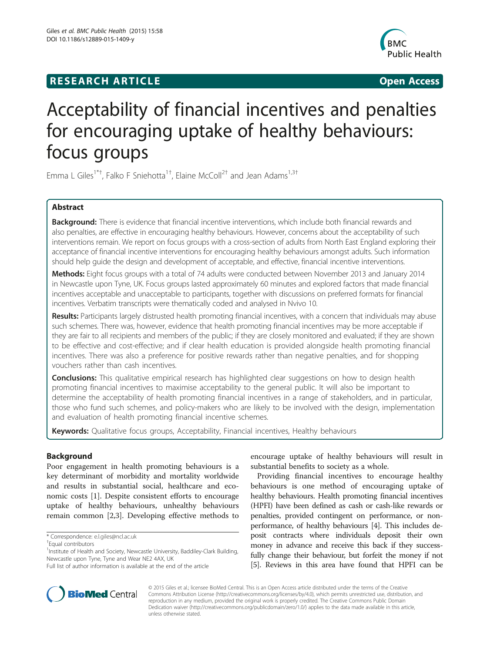# **RESEARCH ARTICLE Example 2014 12:30 The SEAR CHIPS 2014 12:30 The Open Access**



# Acceptability of financial incentives and penalties for encouraging uptake of healthy behaviours: focus groups

Emma L Giles<sup>1\*†</sup>, Falko F Sniehotta<sup>1†</sup>, Elaine McColl<sup>2†</sup> and Jean Adams<sup>1,3†</sup>

# Abstract

Background: There is evidence that financial incentive interventions, which include both financial rewards and also penalties, are effective in encouraging healthy behaviours. However, concerns about the acceptability of such interventions remain. We report on focus groups with a cross-section of adults from North East England exploring their acceptance of financial incentive interventions for encouraging healthy behaviours amongst adults. Such information should help guide the design and development of acceptable, and effective, financial incentive interventions.

Methods: Eight focus groups with a total of 74 adults were conducted between November 2013 and January 2014 in Newcastle upon Tyne, UK. Focus groups lasted approximately 60 minutes and explored factors that made financial incentives acceptable and unacceptable to participants, together with discussions on preferred formats for financial incentives. Verbatim transcripts were thematically coded and analysed in Nvivo 10.

Results: Participants largely distrusted health promoting financial incentives, with a concern that individuals may abuse such schemes. There was, however, evidence that health promoting financial incentives may be more acceptable if they are fair to all recipients and members of the public; if they are closely monitored and evaluated; if they are shown to be effective and cost-effective; and if clear health education is provided alongside health promoting financial incentives. There was also a preference for positive rewards rather than negative penalties, and for shopping vouchers rather than cash incentives.

Conclusions: This qualitative empirical research has highlighted clear suggestions on how to design health promoting financial incentives to maximise acceptability to the general public. It will also be important to determine the acceptability of health promoting financial incentives in a range of stakeholders, and in particular, those who fund such schemes, and policy-makers who are likely to be involved with the design, implementation and evaluation of health promoting financial incentive schemes.

Keywords: Qualitative focus groups, Acceptability, Financial incentives, Healthy behaviours

## Background

Poor engagement in health promoting behaviours is a key determinant of morbidity and mortality worldwide and results in substantial social, healthcare and economic costs [\[1](#page-10-0)]. Despite consistent efforts to encourage uptake of healthy behaviours, unhealthy behaviours remain common [\[2,3](#page-10-0)]. Developing effective methods to



Providing financial incentives to encourage healthy behaviours is one method of encouraging uptake of healthy behaviours. Health promoting financial incentives (HPFI) have been defined as cash or cash-like rewards or penalties, provided contingent on performance, or nonperformance, of healthy behaviours [\[4](#page-10-0)]. This includes deposit contracts where individuals deposit their own money in advance and receive this back if they successfully change their behaviour, but forfeit the money if not [[5](#page-10-0)]. Reviews in this area have found that HPFI can be



© 2015 Giles et al.; licensee BioMed Central. This is an Open Access article distributed under the terms of the Creative Commons Attribution License [\(http://creativecommons.org/licenses/by/4.0\)](http://creativecommons.org/licenses/by/4.0), which permits unrestricted use, distribution, and reproduction in any medium, provided the original work is properly credited. The Creative Commons Public Domain Dedication waiver [\(http://creativecommons.org/publicdomain/zero/1.0/](http://creativecommons.org/publicdomain/zero/1.0/)) applies to the data made available in this article, unless otherwise stated.

<sup>\*</sup> Correspondence: [e.l.giles@ncl.ac.uk](mailto:e.l.giles@ncl.ac.uk) †

Equal contributors

<sup>&</sup>lt;sup>1</sup> Institute of Health and Society, Newcastle University, Baddiley-Clark Building, Newcastle upon Tyne, Tyne and Wear NE2 4AX, UK

Full list of author information is available at the end of the article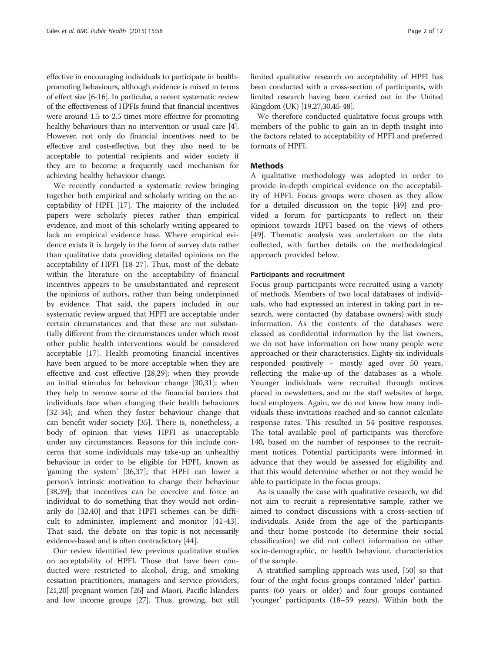effective in encouraging individuals to participate in healthpromoting behaviours, although evidence is mixed in terms of effect size [[6](#page-10-0)-[16](#page-10-0)]. In particular, a recent systematic review of the effectiveness of HPFIs found that financial incentives were around 1.5 to 2.5 times more effective for promoting healthy behaviours than no intervention or usual care [[4](#page-10-0)]. However, not only do financial incentives need to be effective and cost-effective, but they also need to be acceptable to potential recipients and wider society if they are to become a frequently used mechanism for achieving healthy behaviour change.

We recently conducted a systematic review bringing together both empirical and scholarly writing on the acceptability of HPFI [[17](#page-10-0)]. The majority of the included papers were scholarly pieces rather than empirical evidence, and most of this scholarly writing appeared to lack an empirical evidence base. Where empirical evidence exists it is largely in the form of survey data rather than qualitative data providing detailed opinions on the acceptability of HPFI [[18-27\]](#page-10-0). Thus, most of the debate within the literature on the acceptability of financial incentives appears to be unsubstantiated and represent the opinions of authors, rather than being underpinned by evidence. That said, the papers included in our systematic review argued that HPFI are acceptable under certain circumstances and that these are not substantially different from the circumstances under which most other public health interventions would be considered acceptable [[17\]](#page-10-0). Health promoting financial incentives have been argued to be more acceptable when they are effective and cost effective [[28](#page-10-0),[29](#page-10-0)]; when they provide an initial stimulus for behaviour change [[30,31](#page-10-0)]; when they help to remove some of the financial barriers that individuals face when changing their health behaviours [[32-34](#page-10-0)]; and when they foster behaviour change that can benefit wider society [\[35](#page-10-0)]. There is, nonetheless, a body of opinion that views HPFI as unacceptable under any circumstances. Reasons for this include concerns that some individuals may take-up an unhealthy behaviour in order to be eligible for HPFI, known as 'gaming the system' [[36,37\]](#page-10-0); that HPFI can lower a person's intrinsic motivation to change their behaviour [[38,](#page-10-0)[39\]](#page-11-0); that incentives can be coercive and force an individual to do something that they would not ordinarily do [[32](#page-10-0),[40](#page-11-0)] and that HPFI schemes can be difficult to administer, implement and monitor [[41](#page-11-0)-[43](#page-11-0)]. That said, the debate on this topic is not necessarily evidence-based and is often contradictory [\[44\]](#page-11-0).

Our review identified few previous qualitative studies on acceptability of HPFI. Those that have been conducted were restricted to alcohol, drug, and smoking cessation practitioners, managers and service providers, [[21,20\]](#page-10-0) pregnant women [\[26](#page-10-0)] and Maori, Pacific Islanders and low income groups [\[27\]](#page-10-0). Thus, growing, but still limited qualitative research on acceptability of HPFI has been conducted with a cross-section of participants, with limited research having been carried out in the United Kingdom (UK) [\[19,27,30,](#page-10-0)[45](#page-11-0)-[48](#page-11-0)].

We therefore conducted qualitative focus groups with members of the public to gain an in-depth insight into the factors related to acceptability of HPFI and preferred formats of HPFI.

### Methods

A qualitative methodology was adopted in order to provide in-depth empirical evidence on the acceptability of HPFI. Focus groups were chosen as they allow for a detailed discussion on the topic [[49](#page-11-0)] and provided a forum for participants to reflect on their opinions towards HPFI based on the views of others [[49\]](#page-11-0). Thematic analysis was undertaken on the data collected, with further details on the methodological approach provided below.

#### Participants and recruitment

Focus group participants were recruited using a variety of methods. Members of two local databases of individuals, who had expressed an interest in taking part in research, were contacted (by database owners) with study information. As the contents of the databases were classed as confidential information by the list owners, we do not have information on how many people were approached or their characteristics. Eighty six individuals responded positively – mostly aged over 50 years, reflecting the make-up of the databases as a whole. Younger individuals were recruited through notices placed in newsletters, and on the staff websites of large, local employers. Again, we do not know how many individuals these invitations reached and so cannot calculate response rates. This resulted in 54 positive responses. The total available pool of participants was therefore 140, based on the number of responses to the recruitment notices. Potential participants were informed in advance that they would be assessed for eligibility and that this would determine whether or not they would be able to participate in the focus groups.

As is usually the case with qualitative research, we did not aim to recruit a representative sample; rather we aimed to conduct discussions with a cross-section of individuals. Aside from the age of the participants and their home postcode (to determine their social classification) we did not collect information on other socio-demographic, or health behaviour, characteristics of the sample.

A stratified sampling approach was used, [[50\]](#page-11-0) so that four of the eight focus groups contained 'older' participants (60 years or older) and four groups contained 'younger' participants (18–59 years). Within both the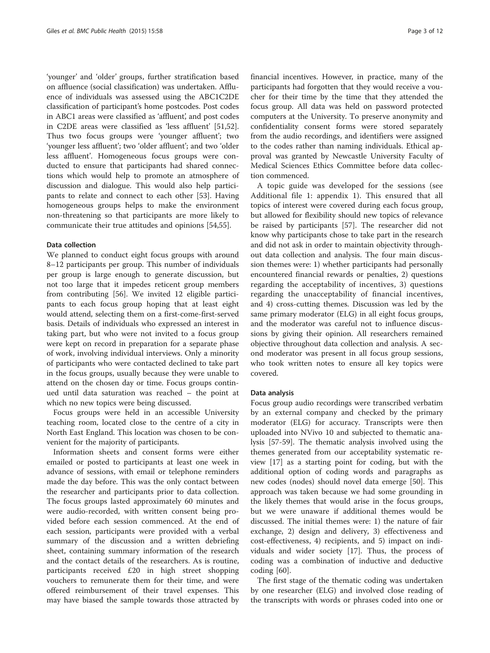'younger' and 'older' groups, further stratification based on affluence (social classification) was undertaken. Affluence of individuals was assessed using the ABC1C2DE classification of participant's home postcodes. Post codes in ABC1 areas were classified as 'affluent', and post codes in C2DE areas were classified as 'less affluent' [\[51,52](#page-11-0)]. Thus two focus groups were 'younger affluent'; two 'younger less affluent'; two 'older affluent'; and two 'older less affluent'. Homogeneous focus groups were conducted to ensure that participants had shared connections which would help to promote an atmosphere of discussion and dialogue. This would also help participants to relate and connect to each other [\[53\]](#page-11-0). Having homogeneous groups helps to make the environment non-threatening so that participants are more likely to communicate their true attitudes and opinions [\[54,55\]](#page-11-0).

#### Data collection

We planned to conduct eight focus groups with around 8–12 participants per group. This number of individuals per group is large enough to generate discussion, but not too large that it impedes reticent group members from contributing [\[56](#page-11-0)]. We invited 12 eligible participants to each focus group hoping that at least eight would attend, selecting them on a first-come-first-served basis. Details of individuals who expressed an interest in taking part, but who were not invited to a focus group were kept on record in preparation for a separate phase of work, involving individual interviews. Only a minority of participants who were contacted declined to take part in the focus groups, usually because they were unable to attend on the chosen day or time. Focus groups continued until data saturation was reached – the point at which no new topics were being discussed.

Focus groups were held in an accessible University teaching room, located close to the centre of a city in North East England. This location was chosen to be convenient for the majority of participants.

Information sheets and consent forms were either emailed or posted to participants at least one week in advance of sessions, with email or telephone reminders made the day before. This was the only contact between the researcher and participants prior to data collection. The focus groups lasted approximately 60 minutes and were audio-recorded, with written consent being provided before each session commenced. At the end of each session, participants were provided with a verbal summary of the discussion and a written debriefing sheet, containing summary information of the research and the contact details of the researchers. As is routine, participants received £20 in high street shopping vouchers to remunerate them for their time, and were offered reimbursement of their travel expenses. This may have biased the sample towards those attracted by

financial incentives. However, in practice, many of the participants had forgotten that they would receive a voucher for their time by the time that they attended the focus group. All data was held on password protected computers at the University. To preserve anonymity and confidentiality consent forms were stored separately from the audio recordings, and identifiers were assigned to the codes rather than naming individuals. Ethical approval was granted by Newcastle University Faculty of Medical Sciences Ethics Committee before data collection commenced.

A topic guide was developed for the sessions (see Additional file [1:](#page-9-0) appendix 1). This ensured that all topics of interest were covered during each focus group, but allowed for flexibility should new topics of relevance be raised by participants [[57\]](#page-11-0). The researcher did not know why participants chose to take part in the research and did not ask in order to maintain objectivity throughout data collection and analysis. The four main discussion themes were: 1) whether participants had personally encountered financial rewards or penalties, 2) questions regarding the acceptability of incentives, 3) questions regarding the unacceptability of financial incentives, and 4) cross-cutting themes. Discussion was led by the same primary moderator (ELG) in all eight focus groups, and the moderator was careful not to influence discussions by giving their opinion. All researchers remained objective throughout data collection and analysis. A second moderator was present in all focus group sessions, who took written notes to ensure all key topics were covered.

#### Data analysis

Focus group audio recordings were transcribed verbatim by an external company and checked by the primary moderator (ELG) for accuracy. Transcripts were then uploaded into NVivo 10 and subjected to thematic analysis [[57-59\]](#page-11-0). The thematic analysis involved using the themes generated from our acceptability systematic review [\[17\]](#page-10-0) as a starting point for coding, but with the additional option of coding words and paragraphs as new codes (nodes) should novel data emerge [\[50](#page-11-0)]. This approach was taken because we had some grounding in the likely themes that would arise in the focus groups, but we were unaware if additional themes would be discussed. The initial themes were: 1) the nature of fair exchange, 2) design and delivery, 3) effectiveness and cost-effectiveness, 4) recipients, and 5) impact on individuals and wider society [\[17](#page-10-0)]. Thus, the process of coding was a combination of inductive and deductive coding [[60\]](#page-11-0).

The first stage of the thematic coding was undertaken by one researcher (ELG) and involved close reading of the transcripts with words or phrases coded into one or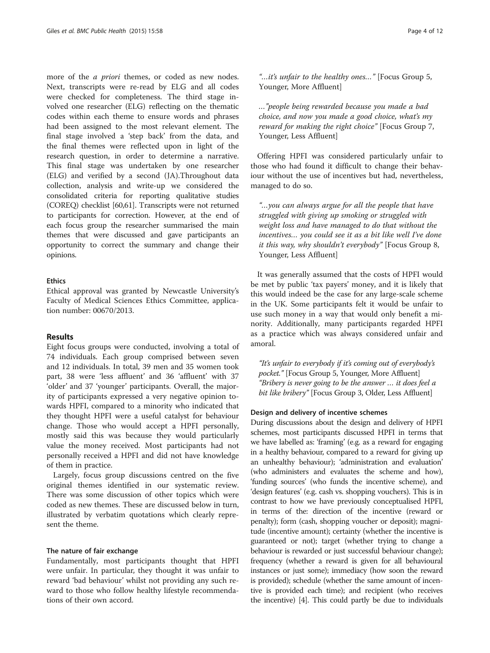more of the a priori themes, or coded as new nodes. Next, transcripts were re-read by ELG and all codes were checked for completeness. The third stage involved one researcher (ELG) reflecting on the thematic codes within each theme to ensure words and phrases had been assigned to the most relevant element. The final stage involved a 'step back' from the data, and the final themes were reflected upon in light of the research question, in order to determine a narrative. This final stage was undertaken by one researcher (ELG) and verified by a second (JA).Throughout data collection, analysis and write-up we considered the consolidated criteria for reporting qualitative studies (COREQ) checklist [[60,61\]](#page-11-0). Transcripts were not returned to participants for correction. However, at the end of each focus group the researcher summarised the main themes that were discussed and gave participants an opportunity to correct the summary and change their opinions.

#### Ethics

Ethical approval was granted by Newcastle University's Faculty of Medical Sciences Ethics Committee, application number: 00670/2013.

#### Results

Eight focus groups were conducted, involving a total of 74 individuals. Each group comprised between seven and 12 individuals. In total, 39 men and 35 women took part, 38 were 'less affluent' and 36 'affluent' with 37 'older' and 37 'younger' participants. Overall, the majority of participants expressed a very negative opinion towards HPFI, compared to a minority who indicated that they thought HPFI were a useful catalyst for behaviour change. Those who would accept a HPFI personally, mostly said this was because they would particularly value the money received. Most participants had not personally received a HPFI and did not have knowledge of them in practice.

Largely, focus group discussions centred on the five original themes identified in our systematic review. There was some discussion of other topics which were coded as new themes. These are discussed below in turn, illustrated by verbatim quotations which clearly represent the theme.

#### The nature of fair exchange

Fundamentally, most participants thought that HPFI were unfair. In particular, they thought it was unfair to reward 'bad behaviour' whilst not providing any such reward to those who follow healthy lifestyle recommendations of their own accord.

"…it's unfair to the healthy ones…" [Focus Group 5, Younger, More Affluent]

…"people being rewarded because you made a bad choice, and now you made a good choice, what's my reward for making the right choice" [Focus Group 7, Younger, Less Affluent]

Offering HPFI was considered particularly unfair to those who had found it difficult to change their behaviour without the use of incentives but had, nevertheless, managed to do so.

"…you can always argue for all the people that have struggled with giving up smoking or struggled with weight loss and have managed to do that without the incentives… you could see it as a bit like well I've done it this way, why shouldn't everybody" [Focus Group 8, Younger, Less Affluent]

It was generally assumed that the costs of HPFI would be met by public 'tax payers' money, and it is likely that this would indeed be the case for any large-scale scheme in the UK. Some participants felt it would be unfair to use such money in a way that would only benefit a minority. Additionally, many participants regarded HPFI as a practice which was always considered unfair and amoral.

"It's unfair to everybody if it's coming out of everybody's pocket." [Focus Group 5, Younger, More Affluent] "Bribery is never going to be the answer … it does feel a bit like bribery" [Focus Group 3, Older, Less Affluent]

#### Design and delivery of incentive schemes

During discussions about the design and delivery of HPFI schemes, most participants discussed HPFI in terms that we have labelled as: 'framing' (e.g. as a reward for engaging in a healthy behaviour, compared to a reward for giving up an unhealthy behaviour); 'administration and evaluation' (who administers and evaluates the scheme and how), 'funding sources' (who funds the incentive scheme), and 'design features' (e.g. cash vs. shopping vouchers). This is in contrast to how we have previously conceptualised HPFI, in terms of the: direction of the incentive (reward or penalty); form (cash, shopping voucher or deposit); magnitude (incentive amount); certainty (whether the incentive is guaranteed or not); target (whether trying to change a behaviour is rewarded or just successful behaviour change); frequency (whether a reward is given for all behavioural instances or just some); immediacy (how soon the reward is provided); schedule (whether the same amount of incentive is provided each time); and recipient (who receives the incentive) [\[4\]](#page-10-0). This could partly be due to individuals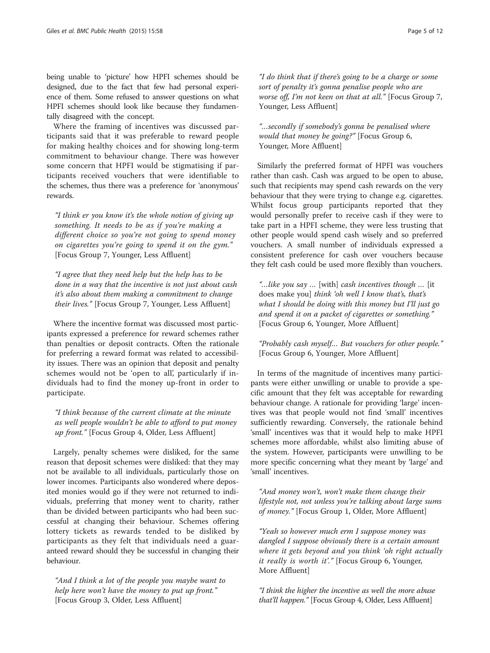being unable to 'picture' how HPFI schemes should be designed, due to the fact that few had personal experience of them. Some refused to answer questions on what HPFI schemes should look like because they fundamentally disagreed with the concept.

Where the framing of incentives was discussed participants said that it was preferable to reward people for making healthy choices and for showing long-term commitment to behaviour change. There was however some concern that HPFI would be stigmatising if participants received vouchers that were identifiable to the schemes, thus there was a preference for 'anonymous' rewards.

"I think er you know it's the whole notion of giving up something. It needs to be as if you're making a different choice so you're not going to spend money on cigarettes you're going to spend it on the gym." [Focus Group 7, Younger, Less Affluent]

"I agree that they need help but the help has to be done in a way that the incentive is not just about cash it's also about them making a commitment to change their lives." [Focus Group 7, Younger, Less Affluent]

Where the incentive format was discussed most participants expressed a preference for reward schemes rather than penalties or deposit contracts. Often the rationale for preferring a reward format was related to accessibility issues. There was an opinion that deposit and penalty schemes would not be 'open to all', particularly if individuals had to find the money up-front in order to participate.

"I think because of the current climate at the minute as well people wouldn't be able to afford to put money up front." [Focus Group 4, Older, Less Affluent]

Largely, penalty schemes were disliked, for the same reason that deposit schemes were disliked: that they may not be available to all individuals, particularly those on lower incomes. Participants also wondered where deposited monies would go if they were not returned to individuals, preferring that money went to charity, rather than be divided between participants who had been successful at changing their behaviour. Schemes offering lottery tickets as rewards tended to be disliked by participants as they felt that individuals need a guaranteed reward should they be successful in changing their behaviour.

"And I think a lot of the people you maybe want to help here won't have the money to put up front." [Focus Group 3, Older, Less Affluent]

"I do think that if there's going to be a charge or some sort of penalty it's gonna penalise people who are worse off, I'm not keen on that at all." [Focus Group 7, Younger, Less Affluent]

"…secondly if somebody's gonna be penalised where would that money be going?" [Focus Group 6, Younger, More Affluent]

Similarly the preferred format of HPFI was vouchers rather than cash. Cash was argued to be open to abuse, such that recipients may spend cash rewards on the very behaviour that they were trying to change e.g. cigarettes. Whilst focus group participants reported that they would personally prefer to receive cash if they were to take part in a HPFI scheme, they were less trusting that other people would spend cash wisely and so preferred vouchers. A small number of individuals expressed a consistent preference for cash over vouchers because they felt cash could be used more flexibly than vouchers.

"…like you say … [with] cash incentives though … [it does make you] think 'oh well I know that's, that's what I should be doing with this money but I'll just go and spend it on a packet of cigarettes or something." [Focus Group 6, Younger, More Affluent]

"Probably cash myself… But vouchers for other people." [Focus Group 6, Younger, More Affluent]

In terms of the magnitude of incentives many participants were either unwilling or unable to provide a specific amount that they felt was acceptable for rewarding behaviour change. A rationale for providing 'large' incentives was that people would not find 'small' incentives sufficiently rewarding. Conversely, the rationale behind 'small' incentives was that it would help to make HPFI schemes more affordable, whilst also limiting abuse of the system. However, participants were unwilling to be more specific concerning what they meant by 'large' and 'small' incentives.

"And money won't, won't make them change their lifestyle not, not unless you're talking about large sums of money." [Focus Group 1, Older, More Affluent]

"Yeah so however much erm I suppose money was dangled I suppose obviously there is a certain amount where it gets beyond and you think 'oh right actually it really is worth it'." [Focus Group 6, Younger, More Affluent]

"I think the higher the incentive as well the more abuse that'll happen." [Focus Group 4, Older, Less Affluent]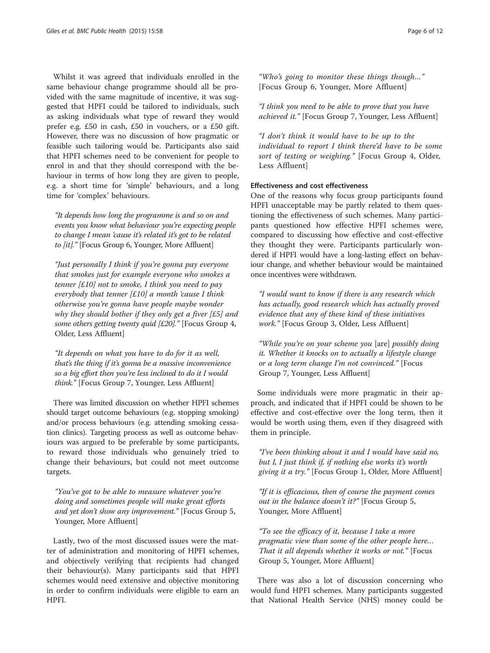Whilst it was agreed that individuals enrolled in the same behaviour change programme should all be provided with the same magnitude of incentive, it was suggested that HPFI could be tailored to individuals, such as asking individuals what type of reward they would prefer e.g. £50 in cash, £50 in vouchers, or a £50 gift. However, there was no discussion of how pragmatic or feasible such tailoring would be. Participants also said that HPFI schemes need to be convenient for people to enrol in and that they should correspond with the behaviour in terms of how long they are given to people, e.g. a short time for 'simple' behaviours, and a long time for 'complex' behaviours.

"It depends how long the programme is and so on and events you know what behaviour you're expecting people to change I mean 'cause it's related it's got to be related to [it]." [Focus Group 6, Younger, More Affluent]

"Just personally I think if you're gonna pay everyone that smokes just for example everyone who smokes a tenner  $\vert \text{E10} \vert$  not to smoke, I think you need to pay everybody that tenner  $[£10]$  a month 'cause I think otherwise you're gonna have people maybe wonder why they should bother if they only get a fiver [£5] and some others getting twenty quid [£20]." [Focus Group 4, Older, Less Affluent]

"It depends on what you have to do for it as well, that's the thing if it's gonna be a massive inconvenience so a big effort then you're less inclined to do it I would think." [Focus Group 7, Younger, Less Affluent]

There was limited discussion on whether HPFI schemes should target outcome behaviours (e.g. stopping smoking) and/or process behaviours (e.g. attending smoking cessation clinics). Targeting process as well as outcome behaviours was argued to be preferable by some participants, to reward those individuals who genuinely tried to change their behaviours, but could not meet outcome targets.

"You've got to be able to measure whatever you're doing and sometimes people will make great efforts and yet don't show any improvement." [Focus Group 5, Younger, More Affluent]

Lastly, two of the most discussed issues were the matter of administration and monitoring of HPFI schemes, and objectively verifying that recipients had changed their behaviour(s). Many participants said that HPFI schemes would need extensive and objective monitoring in order to confirm individuals were eligible to earn an HPFI.

"Who's going to monitor these things though…" [Focus Group 6, Younger, More Affluent]

"I think you need to be able to prove that you have achieved it." [Focus Group 7, Younger, Less Affluent]

"I don't think it would have to be up to the individual to report I think there'd have to be some sort of testing or weighing." [Focus Group 4, Older, Less Affluent]

#### Effectiveness and cost effectiveness

One of the reasons why focus group participants found HPFI unacceptable may be partly related to them questioning the effectiveness of such schemes. Many participants questioned how effective HPFI schemes were, compared to discussing how effective and cost-effective they thought they were. Participants particularly wondered if HPFI would have a long-lasting effect on behaviour change, and whether behaviour would be maintained once incentives were withdrawn.

"I would want to know if there is any research which has actually, good research which has actually proved evidence that any of these kind of these initiatives work." [Focus Group 3, Older, Less Affluent]

"While you're on your scheme you [are] possibly doing it. Whether it knocks on to actually a lifestyle change or a long term change I'm not convinced." [Focus Group 7, Younger, Less Affluent]

Some individuals were more pragmatic in their approach, and indicated that if HPFI could be shown to be effective and cost-effective over the long term, then it would be worth using them, even if they disagreed with them in principle.

"I've been thinking about it and I would have said no, but I, I just think if, if nothing else works it's worth giving it a try." [Focus Group 1, Older, More Affluent]

"If it is efficacious, then of course the payment comes out in the balance doesn't it?" [Focus Group 5, Younger, More Affluent]

"To see the efficacy of it, because I take a more pragmatic view than some of the other people here… That it all depends whether it works or not." [Focus Group 5, Younger, More Affluent]

There was also a lot of discussion concerning who would fund HPFI schemes. Many participants suggested that National Health Service (NHS) money could be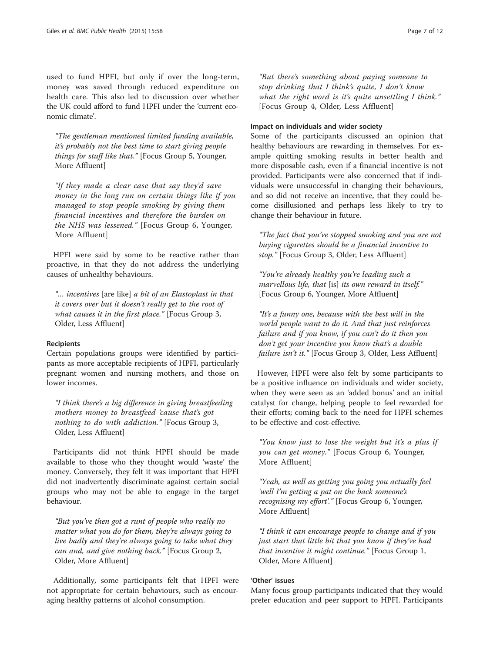used to fund HPFI, but only if over the long-term, money was saved through reduced expenditure on health care. This also led to discussion over whether the UK could afford to fund HPFI under the 'current economic climate'.

"The gentleman mentioned limited funding available, it's probably not the best time to start giving people things for stuff like that." [Focus Group 5, Younger, More Affluent]

"If they made a clear case that say they'd save money in the long run on certain things like if you managed to stop people smoking by giving them financial incentives and therefore the burden on the NHS was lessened." [Focus Group 6, Younger, More Affluent]

HPFI were said by some to be reactive rather than proactive, in that they do not address the underlying causes of unhealthy behaviours.

"… incentives [are like] a bit of an Elastoplast in that it covers over but it doesn't really get to the root of what causes it in the first place." [Focus Group 3, Older, Less Affluent]

#### Recipients

Certain populations groups were identified by participants as more acceptable recipients of HPFI, particularly pregnant women and nursing mothers, and those on lower incomes.

"I think there's a big difference in giving breastfeeding mothers money to breastfeed 'cause that's got nothing to do with addiction." [Focus Group 3, Older, Less Affluent]

Participants did not think HPFI should be made available to those who they thought would 'waste' the money. Conversely, they felt it was important that HPFI did not inadvertently discriminate against certain social groups who may not be able to engage in the target behaviour.

"But you've then got a runt of people who really no matter what you do for them, they're always going to live badly and they're always going to take what they can and, and give nothing back." [Focus Group 2, Older, More Affluent]

Additionally, some participants felt that HPFI were not appropriate for certain behaviours, such as encouraging healthy patterns of alcohol consumption.

"But there's something about paying someone to stop drinking that I think's quite, I don't know what the right word is it's quite unsettling I think." [Focus Group 4, Older, Less Affluent]

#### Impact on individuals and wider society

Some of the participants discussed an opinion that healthy behaviours are rewarding in themselves. For example quitting smoking results in better health and more disposable cash, even if a financial incentive is not provided. Participants were also concerned that if individuals were unsuccessful in changing their behaviours, and so did not receive an incentive, that they could become disillusioned and perhaps less likely to try to change their behaviour in future.

"The fact that you've stopped smoking and you are not buying cigarettes should be a financial incentive to stop." [Focus Group 3, Older, Less Affluent]

"You're already healthy you're leading such a marvellous life, that [is] its own reward in itself." [Focus Group 6, Younger, More Affluent]

"It's a funny one, because with the best will in the world people want to do it. And that just reinforces failure and if you know, if you can't do it then you don't get your incentive you know that's a double failure isn't it." [Focus Group 3, Older, Less Affluent]

However, HPFI were also felt by some participants to be a positive influence on individuals and wider society, when they were seen as an 'added bonus' and an initial catalyst for change, helping people to feel rewarded for their efforts; coming back to the need for HPFI schemes to be effective and cost-effective.

"You know just to lose the weight but it's a plus if you can get money." [Focus Group 6, Younger, More Affluent]

"Yeah, as well as getting you going you actually feel 'well I'm getting a pat on the back someone's recognising my effort'." [Focus Group 6, Younger, More Affluent]

"I think it can encourage people to change and if you just start that little bit that you know if they've had that incentive it might continue." [Focus Group 1, Older, More Affluent]

#### 'Other' issues

Many focus group participants indicated that they would prefer education and peer support to HPFI. Participants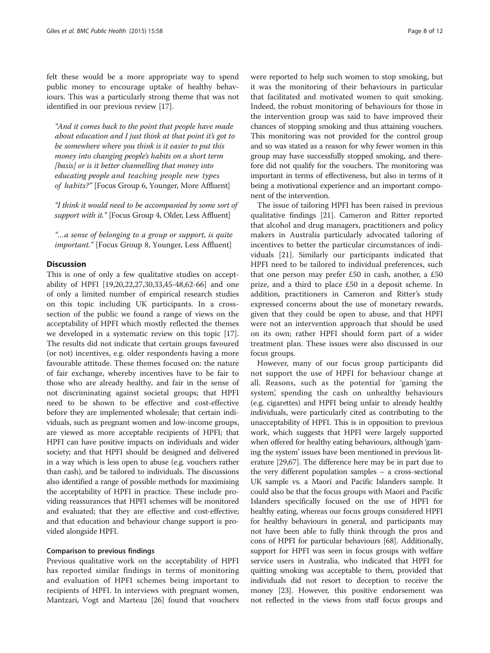felt these would be a more appropriate way to spend public money to encourage uptake of healthy behaviours. This was a particularly strong theme that was not identified in our previous review [\[17\]](#page-10-0).

"And it comes back to the point that people have made about education and I just think at that point it's got to be somewhere where you think is it easier to put this money into changing people's habits on a short term [basis] or is it better channelling that money into educating people and teaching people new types of habits?" [Focus Group 6, Younger, More Affluent]

"I think it would need to be accompanied by some sort of support with it." [Focus Group 4, Older, Less Affluent]

"…a sense of belonging to a group or support, is quite important." [Focus Group 8, Younger, Less Affluent]

#### Discussion

This is one of only a few qualitative studies on acceptability of HPFI [[19,20,22,27,30,33,](#page-10-0)[45-48,62-66](#page-11-0)] and one of only a limited number of empirical research studies on this topic including UK participants. In a crosssection of the public we found a range of views on the acceptability of HPFI which mostly reflected the themes we developed in a systematic review on this topic [\[17](#page-10-0)]. The results did not indicate that certain groups favoured (or not) incentives, e.g. older respondents having a more favourable attitude. These themes focused on: the nature of fair exchange, whereby incentives have to be fair to those who are already healthy, and fair in the sense of not discriminating against societal groups; that HPFI need to be shown to be effective and cost-effective before they are implemented wholesale; that certain individuals, such as pregnant women and low-income groups, are viewed as more acceptable recipients of HPFI; that HPFI can have positive impacts on individuals and wider society; and that HPFI should be designed and delivered in a way which is less open to abuse (e.g. vouchers rather than cash), and be tailored to individuals. The discussions also identified a range of possible methods for maximising the acceptability of HPFI in practice. These include providing reassurances that HPFI schemes will be monitored and evaluated; that they are effective and cost-effective; and that education and behaviour change support is provided alongside HPFI.

#### Comparison to previous findings

Previous qualitative work on the acceptability of HPFI has reported similar findings in terms of monitoring and evaluation of HPFI schemes being important to recipients of HPFI. In interviews with pregnant women, Mantzari, Vogt and Marteau [[26\]](#page-10-0) found that vouchers

were reported to help such women to stop smoking, but it was the monitoring of their behaviours in particular that facilitated and motivated women to quit smoking. Indeed, the robust monitoring of behaviours for those in the intervention group was said to have improved their chances of stopping smoking and thus attaining vouchers. This monitoring was not provided for the control group and so was stated as a reason for why fewer women in this group may have successfully stopped smoking, and therefore did not qualify for the vouchers. The monitoring was important in terms of effectiveness, but also in terms of it being a motivational experience and an important component of the intervention.

The issue of tailoring HPFI has been raised in previous qualitative findings [[21](#page-10-0)]. Cameron and Ritter reported that alcohol and drug managers, practitioners and policy makers in Australia particularly advocated tailoring of incentives to better the particular circumstances of individuals [\[21\]](#page-10-0). Similarly our participants indicated that HPFI need to be tailored to individual preferences, such that one person may prefer £50 in cash, another, a £50 prize, and a third to place £50 in a deposit scheme. In addition, practitioners in Cameron and Ritter's study expressed concerns about the use of monetary rewards, given that they could be open to abuse, and that HPFI were not an intervention approach that should be used on its own; rather HPFI should form part of a wider treatment plan. These issues were also discussed in our focus groups.

However, many of our focus group participants did not support the use of HPFI for behaviour change at all. Reasons, such as the potential for 'gaming the system', spending the cash on unhealthy behaviours (e.g. cigarettes) and HPFI being unfair to already healthy individuals, were particularly cited as contributing to the unacceptability of HPFI. This is in opposition to previous work, which suggests that HPFI were largely supported when offered for healthy eating behaviours, although 'gaming the system' issues have been mentioned in previous literature [\[29,](#page-10-0)[67\]](#page-11-0). The difference here may be in part due to the very different population samples – a cross-sectional UK sample vs. a Maori and Pacific Islanders sample. It could also be that the focus groups with Maori and Pacific Islanders specifically focused on the use of HPFI for healthy eating, whereas our focus groups considered HPFI for healthy behaviours in general, and participants may not have been able to fully think through the pros and cons of HPFI for particular behaviours [\[68\]](#page-11-0). Additionally, support for HPFI was seen in focus groups with welfare service users in Australia, who indicated that HPFI for quitting smoking was acceptable to them, provided that individuals did not resort to deception to receive the money [\[23](#page-10-0)]. However, this positive endorsement was not reflected in the views from staff focus groups and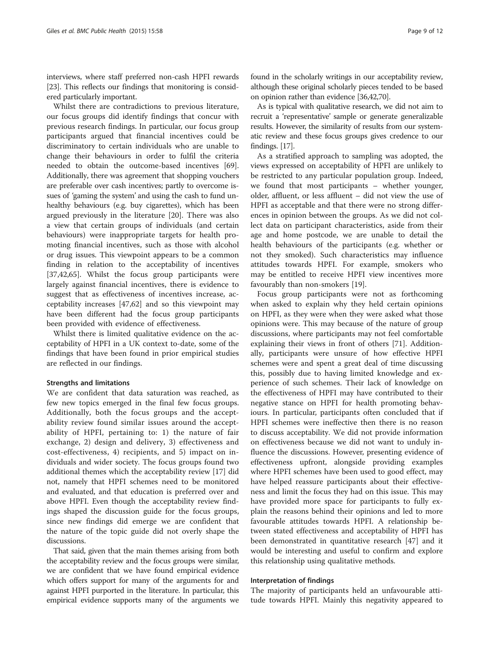interviews, where staff preferred non-cash HPFI rewards [[23](#page-10-0)]. This reflects our findings that monitoring is considered particularly important.

Whilst there are contradictions to previous literature, our focus groups did identify findings that concur with previous research findings. In particular, our focus group participants argued that financial incentives could be discriminatory to certain individuals who are unable to change their behaviours in order to fulfil the criteria needed to obtain the outcome-based incentives [\[69](#page-11-0)]. Additionally, there was agreement that shopping vouchers are preferable over cash incentives; partly to overcome issues of 'gaming the system' and using the cash to fund unhealthy behaviours (e.g. buy cigarettes), which has been argued previously in the literature [[20\]](#page-10-0). There was also a view that certain groups of individuals (and certain behaviours) were inappropriate targets for health promoting financial incentives, such as those with alcohol or drug issues. This viewpoint appears to be a common finding in relation to the acceptability of incentives [[37,](#page-10-0)[42,65\]](#page-11-0). Whilst the focus group participants were largely against financial incentives, there is evidence to suggest that as effectiveness of incentives increase, acceptability increases [[47,62\]](#page-11-0) and so this viewpoint may have been different had the focus group participants been provided with evidence of effectiveness.

Whilst there is limited qualitative evidence on the acceptability of HPFI in a UK context to-date, some of the findings that have been found in prior empirical studies are reflected in our findings.

#### Strengths and limitations

We are confident that data saturation was reached, as few new topics emerged in the final few focus groups. Additionally, both the focus groups and the acceptability review found similar issues around the acceptability of HPFI, pertaining to: 1) the nature of fair exchange, 2) design and delivery, 3) effectiveness and cost-effectiveness, 4) recipients, and 5) impact on individuals and wider society. The focus groups found two additional themes which the acceptability review [[17](#page-10-0)] did not, namely that HPFI schemes need to be monitored and evaluated, and that education is preferred over and above HPFI. Even though the acceptability review findings shaped the discussion guide for the focus groups, since new findings did emerge we are confident that the nature of the topic guide did not overly shape the discussions.

That said, given that the main themes arising from both the acceptability review and the focus groups were similar, we are confident that we have found empirical evidence which offers support for many of the arguments for and against HPFI purported in the literature. In particular, this empirical evidence supports many of the arguments we found in the scholarly writings in our acceptability review, although these original scholarly pieces tended to be based on opinion rather than evidence [\[36,](#page-10-0)[42,70\]](#page-11-0).

As is typical with qualitative research, we did not aim to recruit a 'representative' sample or generate generalizable results. However, the similarity of results from our systematic review and these focus groups gives credence to our findings. [[17](#page-10-0)].

As a stratified approach to sampling was adopted, the views expressed on acceptability of HPFI are unlikely to be restricted to any particular population group. Indeed, we found that most participants – whether younger, older, affluent, or less affluent – did not view the use of HPFI as acceptable and that there were no strong differences in opinion between the groups. As we did not collect data on participant characteristics, aside from their age and home postcode, we are unable to detail the health behaviours of the participants (e.g. whether or not they smoked). Such characteristics may influence attitudes towards HPFI. For example, smokers who may be entitled to receive HPFI view incentives more favourably than non-smokers [[19](#page-10-0)].

Focus group participants were not as forthcoming when asked to explain why they held certain opinions on HPFI, as they were when they were asked what those opinions were. This may because of the nature of group discussions, where participants may not feel comfortable explaining their views in front of others [[71\]](#page-11-0). Additionally, participants were unsure of how effective HPFI schemes were and spent a great deal of time discussing this, possibly due to having limited knowledge and experience of such schemes. Their lack of knowledge on the effectiveness of HPFI may have contributed to their negative stance on HPFI for health promoting behaviours. In particular, participants often concluded that if HPFI schemes were ineffective then there is no reason to discuss acceptability. We did not provide information on effectiveness because we did not want to unduly influence the discussions. However, presenting evidence of effectiveness upfront, alongside providing examples where HPFI schemes have been used to good effect, may have helped reassure participants about their effectiveness and limit the focus they had on this issue. This may have provided more space for participants to fully explain the reasons behind their opinions and led to more favourable attitudes towards HPFI. A relationship between stated effectiveness and acceptability of HPFI has been demonstrated in quantitative research [[47\]](#page-11-0) and it would be interesting and useful to confirm and explore this relationship using qualitative methods.

#### Interpretation of findings

The majority of participants held an unfavourable attitude towards HPFI. Mainly this negativity appeared to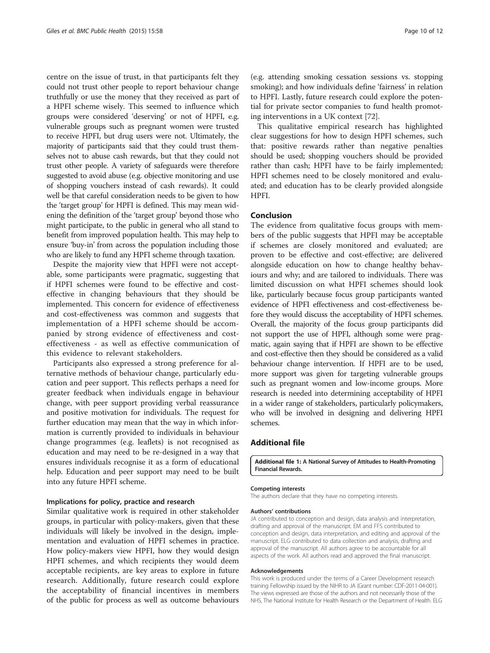<span id="page-9-0"></span>centre on the issue of trust, in that participants felt they could not trust other people to report behaviour change truthfully or use the money that they received as part of a HPFI scheme wisely. This seemed to influence which groups were considered 'deserving' or not of HPFI, e.g. vulnerable groups such as pregnant women were trusted to receive HPFI, but drug users were not. Ultimately, the majority of participants said that they could trust themselves not to abuse cash rewards, but that they could not trust other people. A variety of safeguards were therefore suggested to avoid abuse (e.g. objective monitoring and use of shopping vouchers instead of cash rewards). It could well be that careful consideration needs to be given to how the 'target group' for HPFI is defined. This may mean widening the definition of the 'target group' beyond those who might participate, to the public in general who all stand to benefit from improved population health. This may help to ensure 'buy-in' from across the population including those who are likely to fund any HPFI scheme through taxation.

Despite the majority view that HPFI were not acceptable, some participants were pragmatic, suggesting that if HPFI schemes were found to be effective and costeffective in changing behaviours that they should be implemented. This concern for evidence of effectiveness and cost-effectiveness was common and suggests that implementation of a HPFI scheme should be accompanied by strong evidence of effectiveness and costeffectiveness - as well as effective communication of this evidence to relevant stakeholders.

Participants also expressed a strong preference for alternative methods of behaviour change, particularly education and peer support. This reflects perhaps a need for greater feedback when individuals engage in behaviour change, with peer support providing verbal reassurance and positive motivation for individuals. The request for further education may mean that the way in which information is currently provided to individuals in behaviour change programmes (e.g. leaflets) is not recognised as education and may need to be re-designed in a way that ensures individuals recognise it as a form of educational help. Education and peer support may need to be built into any future HPFI scheme.

#### Implications for policy, practice and research

Similar qualitative work is required in other stakeholder groups, in particular with policy-makers, given that these individuals will likely be involved in the design, implementation and evaluation of HPFI schemes in practice. How policy-makers view HPFI, how they would design HPFI schemes, and which recipients they would deem acceptable recipients, are key areas to explore in future research. Additionally, future research could explore the acceptability of financial incentives in members of the public for process as well as outcome behaviours (e.g. attending smoking cessation sessions vs. stopping smoking); and how individuals define 'fairness' in relation to HPFI. Lastly, future research could explore the potential for private sector companies to fund health promoting interventions in a UK context [[72](#page-11-0)].

This qualitative empirical research has highlighted clear suggestions for how to design HPFI schemes, such that: positive rewards rather than negative penalties should be used; shopping vouchers should be provided rather than cash; HPFI have to be fairly implemented; HPFI schemes need to be closely monitored and evaluated; and education has to be clearly provided alongside HPFI.

#### Conclusion

The evidence from qualitative focus groups with members of the public suggests that HPFI may be acceptable if schemes are closely monitored and evaluated; are proven to be effective and cost-effective; are delivered alongside education on how to change healthy behaviours and why; and are tailored to individuals. There was limited discussion on what HPFI schemes should look like, particularly because focus group participants wanted evidence of HPFI effectiveness and cost-effectiveness before they would discuss the acceptability of HPFI schemes. Overall, the majority of the focus group participants did not support the use of HPFI, although some were pragmatic, again saying that if HPFI are shown to be effective and cost-effective then they should be considered as a valid behaviour change intervention. If HPFI are to be used, more support was given for targeting vulnerable groups such as pregnant women and low-income groups. More research is needed into determining acceptability of HPFI in a wider range of stakeholders, particularly policymakers, who will be involved in designing and delivering HPFI schemes.

#### Additional file

[Additional file 1:](http://www.biomedcentral.com/content/supplementary/s12889-015-1409-y-s1.pdf) A National Survey of Attitudes to Health-Promoting Financial Rewards.

#### Competing interests

The authors declare that they have no competing interests.

#### Authors' contributions

JA contributed to conception and design, data analysis and interpretation, drafting and approval of the manuscript. EM and FFS contributed to conception and design, data interpretation, and editing and approval of the manuscript. ELG contributed to data collection and analysis, drafting and approval of the manuscript. All authors agree to be accountable for all aspects of the work. All authors read and approved the final manuscript.

#### Acknowledgements

This work is produced under the terms of a Career Development research training Fellowship issued by the NIHR to JA (Grant number: CDF-2011-04-001). The views expressed are those of the authors and not necessarily those of the NHS, The National Institute for Health Research or the Department of Health. ELG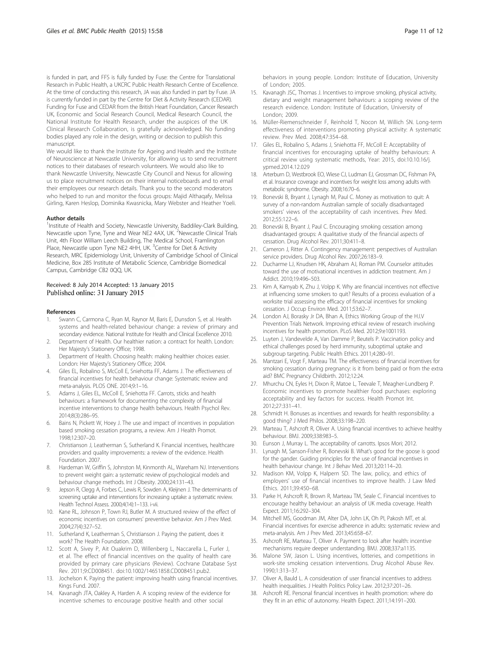<span id="page-10-0"></span>is funded in part, and FFS is fully funded by Fuse: the Centre for Translational Research in Public Health, a UKCRC Public Health Research Centre of Excellence. At the time of conducting this research, JA was also funded in part by Fuse. JA is currently funded in part by the Centre for Diet & Activity Research (CEDAR). Funding for Fuse and CEDAR from the British Heart Foundation, Cancer Research UK, Economic and Social Research Council, Medical Research Council, the National Institute for Health Research, under the auspices of the UK Clinical Research Collaboration, is gratefully acknowledged. No funding bodies played any role in the design, writing or decision to publish this manuscript.

We would like to thank the Institute for Ageing and Health and the Institute of Neuroscience at Newcastle University, for allowing us to send recruitment notices to their databases of research volunteers. We would also like to thank Newcastle University, Newcastle City Council and Nexus for allowing us to place recruitment notices on their internal noticeboards and to email their employees our research details. Thank you to the second moderators who helped to run and monitor the focus groups: Majid Althaqafy, Melissa Girling, Karen Heslop, Dominika Kwasnicka, Mary Webster and Heather Yoeli.

#### Author details

<sup>1</sup>Institute of Health and Society, Newcastle University, Baddiley-Clark Building, Newcastle upon Tyne, Tyne and Wear NE2 4AX, UK. <sup>2</sup>Newcastle Clinical Trials Unit, 4th Floor William Leech Building, The Medical School, Framlington Place, Newcastle upon Tyne NE2 4HH, UK. <sup>3</sup>Centre for Diet & Activity Research, MRC Epidemiology Unit, University of Cambridge School of Clinical Medicine, Box 285 Institute of Metabolic Science, Cambridge Biomedical Campus, Cambridge CB2 0QQ, UK.

#### Received: 8 July 2014 Accepted: 13 January 2015 Published online: 31 January 2015

#### References

- 1. Swann C, Carmona C, Ryan M, Raynor M, Baris E, Dunsdon S, et al. Health systems and health-related behaviour change: a review of primary and secondary evidence. National Institute for Health and Clinical Excellence 2010.
- 2. Department of Health. Our healthier nation: a contract for health. London: Her Majesty's Stationery Office; 1998.
- 3. Department of Health. Choosing health: making healthier choices easier. London: Her Majesty's Stationery Office; 2004.
- 4. Giles EL, Robalino S, McColl E, Sniehotta FF, Adams J. The effectiveness of financial incentives for health behaviour change: Systematic review and meta-analysis. PLOS ONE. 2014;9:1–16.
- 5. Adams J, Giles EL, McColl E, Sniehotta FF. Carrots, sticks and health behaviours: a framework for documenting the complexity of financial incentive interventions to change health behaviours. Health Psychol Rev. 2014;8(3):286–95.
- 6. Bains N, Pickett W, Hoey J. The use and impact of incentives in population based smoking cessation programs, a review. Am J Health Promot. 1998;12:307–20.
- 7. Christianson J, Leatherman S, Sutherland K. Financial incentives, healthcare providers and quality improvements: a review of the evidence. Health Foundation. 2007.
- 8. Hardeman W, Griffin S, Johnston M, Kinmonth AL, Wareham NJ. Interventions to prevent weight gain: a systematic review of psychological models and behaviour change methods. Int J Obesity. 2000;24:131–43.
- 9. Jepson R, Clegg A, Forbes C, Lewis R, Sowden A, Kleijnen J. The determinants of screening uptake and interventions for increasing uptake: a systematic review. Health Technol Assess. 2000;4(14):1–133. i-vii.
- 10. Kane RL, Johnson P, Town RJ, Butler M. A structured review of the effect of economic incentives on consumers' preventive behavior. Am J Prev Med. 2004;27(4):327–52.
- 11. Sutherland K, Leatherman S, Christianson J. Paying the patient, does it work? The Health Foundation. 2008.
- 12. Scott A, Sivey P, Ait Ouakrim D, Willenberg L, Naccarella L, Furler J, et al. The effect of financial incentives on the quality of health care provided by primary care physicians (Review). Cochrane Database Syst Rev. 2011;9:CD008451. doi:10.1002/14651858.CD008451.pub2.
- 13. Jochelson K. Paying the patient: improving health using financial incentives. Kings Fund. 2007.
- 14. Kavanagh JTA, Oakley A, Harden A. A scoping review of the evidence for incentive schemes to encourage positive health and other social

behaviors in young people. London: Institute of Education, University of London; 2005.

- 15. Kavanagh JSC, Thomas J. Incentives to improve smoking, physical activity, dietary and weight management behaviours: a scoping review of the research evidence. London: Institute of Education, University of London; 2009.
- 16. Müller-Riemenschneider F, Reinhold T, Nocon M, Willich SN. Long-term effectiveness of interventions promoting physical activity: A systematic review. Prev Med. 2008;47:354–68.
- 17. Giles EL, Robalino S, Adams J, Sniehotta FF, McColl E: Acceptability of financial incentives for encouraging uptake of healthy behaviours: A critical review using systematic methods, Year: 2015, doi:10.10.16/j. ypmed.2014.12.029
- 18. Arterburn D, Westbrook EO, Wiese CJ, Ludman EJ, Grossman DC, Fishman PA, et al. Insurance coverage and incentives for weight loss among adults with metabolic syndrome. Obesity. 2008;16:70–6.
- 19. Bonevski B, Bryant J, Lynagh M, Paul C. Money as motivation to quit: A survey of a non-random Australian sample of socially disadvantaged smokers' views of the acceptability of cash incentives. Prev Med. 2012;55:122–6.
- 20. Bonevski B, Bryant J, Paul C. Encouraging smoking cessation among disadvantaged groups: A qualitative study of the financial aspects of cessation. Drug Alcohol Rev. 2011;30:411–8.
- 21. Cameron J, Ritter A. Contingency management: perspectives of Australian service providers. Drug Alcohol Rev. 2007;26:183–9.
- 22. Ducharme LJ, Knudsen HK, Abraham AJ, Roman PM. Counselor attitudes toward the use of motivational incentives in addiction treatment. Am J Addict. 2010;19:496–503.
- 23. Kim A, Kamyab K, Zhu J, Volpp K. Why are financial incentives not effective at influencing some smokers to quit? Results of a process evaluation of a worksite trial assessing the efficacy of financial incentives for smoking cessation. J Occup Environ Med. 2011;53:62–7.
- 24. London AJ, Borasky Jr DA, Bhan A, Ethics Working Group of the H.I.V Prevention Trials Network. Improving ethical review of research involving incentives for health promotion. PLoS Med. 2012;9:e1001193.
- 25. Luyten J, Vandevelde A, Van Damme P, Beutels P. Vaccination policy and ethical challenges posed by herd immunity, suboptimal uptake and subgroup targeting. Public Health Ethics. 2011;4:280–91.
- 26. Mantzari E, Vogt F, Marteau TM. The effectiveness of financial incentives for smoking cessation during pregnancy: is it from being paid or from the extra aid? BMC Pregnancy Childbirth. 2012;12:24.
- 27. Mhurchu CN, Eyles H, Dixon R, Matoe L, Teevale T, Meagher-Lundberg P. Economic incentives to promote healthier food purchases: exploring acceptability and key factors for success. Health Promot Int. 2012;27:331–41.
- 28. Schmidt H. Bonuses as incentives and rewards for health responsibility: a good thing? J Med Philos. 2008;33:198–220.
- 29. Marteau T, Ashcroft R, Oliver A. Using financial incentives to achieve healthy behaviour. BMJ. 2009;338:983–5.
- 30. Eunson J, Murray L. The acceptability of carrotts. Ipsos Mori; 2012.
- 31. Lynagh M, Sanson-Fisher R, Bonevski B. What's good for the goose is good for the gander. Guiding principles for the use of financial incentives in health behaviour change. Int J Behav Med. 2013;20:114–20.
- 32. Madison KM, Volpp K, Halpern SD. The law, policy, and ethics of employers' use of financial incentives to improve health. J Law Med Ethics. 2011;39:450–68.
- 33. Parke H, Ashcroft R, Brown R, Marteau TM, Seale C. Financial incentives to encourage healthy behaviour: an analysis of UK media coverage. Health Expect. 2011;16:292–304.
- 34. Mitchell MS, Goodman JM, Alter DA, John LK, Oh PI, Pakosh MT, et al. Financial incentives for exercise adherence in adults: systematic review and meta-analysis. Am J Prev Med. 2013;45:658–67.
- 35. Ashcroft RE, Marteau T, Oliver A. Payment to look after health: incentive mechanisms require deeper understanding. BMJ. 2008;337:a1135.
- 36. Malone SW, Jason L. Using incentives, lotteries, and competitions in work-site smoking cessation interventions. Drug Alcohol Abuse Rev. 1990;1:313–37.
- 37. Oliver A, Bauld L. A consideration of user financial incentives to address health inequalities. J Health Politics Policy Law. 2012;37:201–26.
- 38. Ashcroft RE. Personal financial incentives in health promotion: where do they fit in an ethic of autonomy. Health Expect. 2011;14:191–200.